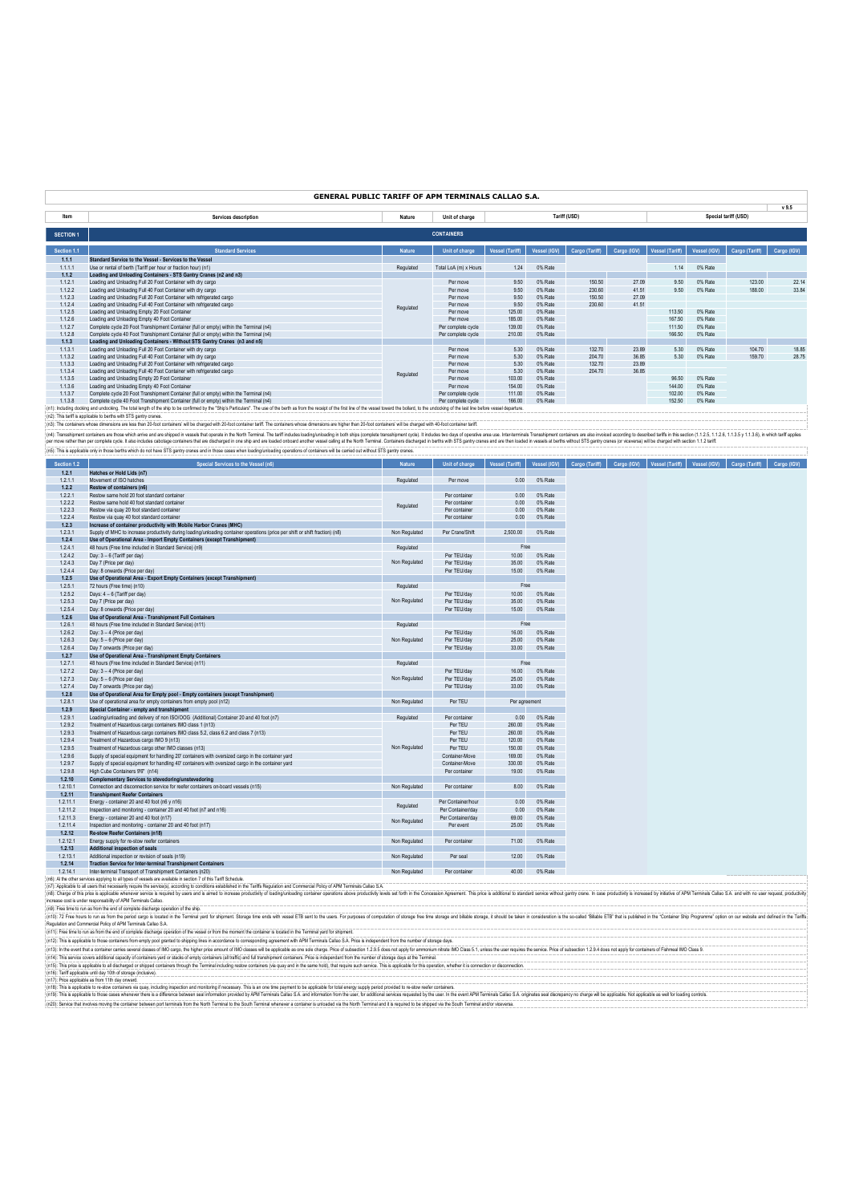|                  | <b>GENERAL PUBLIC TARIFF OF APM TERMINALS CALLAO S.A.</b>                                                                                                                                                                      |               |                       |                 |              |                |             |                        |                     |                      |             |
|------------------|--------------------------------------------------------------------------------------------------------------------------------------------------------------------------------------------------------------------------------|---------------|-----------------------|-----------------|--------------|----------------|-------------|------------------------|---------------------|----------------------|-------------|
| Item             | Services description                                                                                                                                                                                                           | Nature        | Unit of charge        |                 |              | Tariff (USD)   |             |                        |                     | Special tariff (USD) | v9.5        |
| <b>SECTION 1</b> |                                                                                                                                                                                                                                |               | <b>CONTAINERS</b>     |                 |              |                |             |                        |                     |                      |             |
| Section 1.1      | <b>Standard Services</b>                                                                                                                                                                                                       | <b>Nature</b> | Unit of charge        | Vessel (Tariff) | Vessel (IGV) | Cargo (Tariff) | Cargo (IGV) | <b>Vessel (Tariff)</b> | <b>Vessel (IGV)</b> | Cargo (Tariff)       | Cargo (IGV) |
| 1.1.1            | Standard Service to the Vessel - Services to the Vessel                                                                                                                                                                        |               |                       |                 |              |                |             |                        |                     |                      |             |
| 1.1.1.1          | Use or rental of berth (Tariff per hour or fraction hour) (n1)                                                                                                                                                                 | Regulated     | Total LoA (m) x Hours | 1.24            | 0% Rate      |                |             | 1.14                   | 0% Rate             |                      |             |
| 1.1.2            | Loading and Unloading Containers - STS Gantry Cranes (n2 and n3)                                                                                                                                                               |               |                       |                 |              |                |             |                        |                     |                      |             |
| 1.1.2.1          | Loading and Unloading Full 20 Foot Container with dry cargo                                                                                                                                                                    |               | Per move              | 9.50            | 0% Rate      | 150.50         | 27.09       | 9.50                   | 0% Rate             | 123.00               | 22.14       |
| 1.1.2.2          | Loading and Unloading Full 40 Foot Container with dry cargo                                                                                                                                                                    |               | Per move              | 9.50            | 0% Rate      | 230.60         | 41.51       | 9.50                   | 0% Rate             | 188.00               | 33.84       |
| 1.1.2.3          | Loading and Unloading Full 20 Foot Container with refrigerated cargo                                                                                                                                                           |               | Per move              | 9.50            | 0% Rate      | 150.50         | 27.09       |                        |                     |                      |             |
| 1.1.2.4          | Loading and Unloading Full 40 Foot Container with refrigerated cargo                                                                                                                                                           | Regulated     | Per move              | 9.50            | 0% Rate      | 230.60         | 41.51       |                        |                     |                      |             |
| 1.1.2.5          | Loading and Unloading Empty 20 Foot Container                                                                                                                                                                                  |               | Per move              | 125.00          | 0% Rate      |                |             | 113.50                 | 0% Rate             |                      |             |
| 1.1.2.6          | Loading and Unloading Empty 40 Foot Container                                                                                                                                                                                  |               | Per move              | 185.00          | 0% Rate      |                |             | 167.50                 | 0% Rate             |                      |             |
| 1.1.2.7          | Complete cycle 20 Foot Transhipment Container (full or empty) within the Terminal (n4)                                                                                                                                         |               | Per complete cycle    | 139.00          | 0% Rate      |                |             | 111.50                 | 0% Rate             |                      |             |
| 1.1.2.8          | Complete cycle 40 Foot Transhipment Container (full or empty) within the Terminal (n4)                                                                                                                                         |               | Per complete cycle    | 210.00          | 0% Rate      |                |             | 166.50                 | 0% Rate             |                      |             |
| 1.1.3            | Loading and Unloading Containers - Without STS Gantry Cranes (n3 and n5)                                                                                                                                                       |               |                       |                 |              |                |             |                        |                     |                      |             |
| 1.1.3.1          | Loading and Unloading Full 20 Foot Container with dry cargo                                                                                                                                                                    |               | Per move              | 5.30            | 0% Rate      | 132.70         | 23.89       | 5.30                   | 0% Rate             | 104.70               | 18.85       |
| 1.1.3.2          | Loading and Unloading Full 40 Foot Container with dry cargo                                                                                                                                                                    |               | Per move              | 5.30            | 0% Rate      | 204.70         | 36.85       | 5.30                   | 0% Rate             | 159.70               | 28.75       |
| 1.1.3.3          | Loading and Unloading Full 20 Foot Container with refrigerated cargo                                                                                                                                                           |               | Per move              | 5.30            | 0% Rate      | 132.70         | 23.89       |                        |                     |                      |             |
| 1.1.3.4          | Loading and Unloading Full 40 Foot Container with refrigerated cargo                                                                                                                                                           | Regulated     | Per move              | 5.30            | 0% Rate      | 204.70         | 36.85       |                        |                     |                      |             |
| 1.1.3.5          | Loading and Unloading Empty 20 Foot Container                                                                                                                                                                                  |               | Per move              | 103.00          | 0% Rate      |                |             | 96.50                  | 0% Rate             |                      |             |
| 1.1.3.6          | Loading and Unloading Empty 40 Foot Container                                                                                                                                                                                  |               | Per move              | 154.00          | 0% Rate      |                |             | 144.00                 | 0% Rate             |                      |             |
| 1.1.3.7          | Complete cycle 20 Foot Transhipment Container (full or empty) within the Terminal (n4)                                                                                                                                         |               | Per complete cycle    | 111.00          | 0% Rate      |                |             | 102.00                 | 0% Rate             |                      |             |
| 1.1.3.8          | Complete cycle 40 Foot Transhipment Container (full or empty) within the Terminal (n4)                                                                                                                                         |               | Per complete cycle    | 166.00          | 0% Rate      |                |             | 152.50                 | 0% Rate             |                      |             |
|                  | (n1): Including docking and undocking. The total length of the ship to be confirmed by the "Ship's Particulars". The use of the berth as from the receipt of the first line of the vessel toward the bollard, to the undocking |               |                       |                 |              |                |             |                        |                     |                      |             |

(n): This im splane to the way in State in the state of the conservant in the conservant of the conservant of the conservant of the conservant in the conservant in the conservant in the conservant in the conservant of the

| Section 1.2 | Special Services to the Vessel (n6)                                                                                           | <b>Nature</b> | Unit of charge     | <b>Vessel (Tariff)</b> | Vessel (IGV) | Cargo (Tariff) | Cargo (IGV) | <b>Vessel (Tariff)</b> | Vessel (IGV) | Cargo (Tariff) | Cargo (IGV) |
|-------------|-------------------------------------------------------------------------------------------------------------------------------|---------------|--------------------|------------------------|--------------|----------------|-------------|------------------------|--------------|----------------|-------------|
| 1.2.1       | Hatches or Hold Lids (n7)                                                                                                     |               |                    |                        |              |                |             |                        |              |                |             |
| 1.2.1.1     | Movement of ISO hatches                                                                                                       | Regulated     | Per move           | 0.00                   | 0% Rate      |                |             |                        |              |                |             |
| 1.2.2       | Restow of containers (n6)                                                                                                     |               |                    |                        |              |                |             |                        |              |                |             |
| 1.2.2.1     | Restow same hold 20 foot standard container                                                                                   |               | Per container      | 0.00                   | 0% Rate      |                |             |                        |              |                |             |
| 1.2.2.2     | Restow same hold 40 foot standard container                                                                                   | Regulated     | Per container      | 0.00                   | 0% Rate      |                |             |                        |              |                |             |
| 1.2.2.3     | Restow via quay 20 foot standard container                                                                                    |               | Per container      | 0.00                   | 0% Rate      |                |             |                        |              |                |             |
| 1.2.2.4     | Restow via quay 40 foot standard container                                                                                    |               | Per container      | 0.00                   | 0% Rate      |                |             |                        |              |                |             |
| 1.2.3       | Increase of container productivity with Mobile Harbor Cranes (MHC)                                                            |               |                    |                        |              |                |             |                        |              |                |             |
| 1.2.3.1     | Supply of MHC to increase productivity during loading/unloading container operations (price per shift or shift fraction) (n8) | Non Regulated | Per Crane/Shift    | 2,500.00               | 0% Rate      |                |             |                        |              |                |             |
| 1.2.4       | Use of Operational Area - Import Empty Containers (except Transhipment)                                                       |               |                    |                        |              |                |             |                        |              |                |             |
| 1.2.4.1     | 48 hours (Free time included in Standard Service) (n9)                                                                        | Regulated     |                    | Free                   |              |                |             |                        |              |                |             |
| 1.2.4.2     | Day: 3 - 6 (Tariff per day)                                                                                                   |               | Per TEU/day        | 10.00                  | 0% Rate      |                |             |                        |              |                |             |
| 1.2.4.3     | Day 7 (Price per day)                                                                                                         | Non Regulated | Per TEU/day        | 35.00                  | 0% Rate      |                |             |                        |              |                |             |
| 1.2.4.4     | Day: 8 onwards (Price per day)                                                                                                |               | Per TEU/day        | 15.00                  | 0% Rate      |                |             |                        |              |                |             |
| 1.2.5       | Use of Operational Area - Export Empty Containers (except Transhipment)                                                       |               |                    |                        |              |                |             |                        |              |                |             |
| 1.2.5.1     | 72 hours (Free time) (n10)                                                                                                    | Regulated     |                    | Free                   |              |                |             |                        |              |                |             |
| 1.2.5.2     | Days: 4 - 6 (Tariff per day)                                                                                                  |               | Per TEU/day        | 10.00                  | 0% Rate      |                |             |                        |              |                |             |
| 1.2.5.3     | Day 7 (Price per day)                                                                                                         | Non Regulated | Per TEU/day        | 35.00                  | 0% Rate      |                |             |                        |              |                |             |
| 1.2.5.4     | Day: 8 onwards (Price per day)                                                                                                |               | Per TEU/day        | 15.00                  | 0% Rate      |                |             |                        |              |                |             |
| 1.2.6       | Use of Operational Area - Transhipment Full Containers                                                                        |               |                    |                        |              |                |             |                        |              |                |             |
| 1.2.6.1     | 48 hours (Free time included in Standard Service) (n11)                                                                       | Regulated     |                    | Free                   |              |                |             |                        |              |                |             |
| 1.2.6.2     | Day: 3 - 4 (Price per day)                                                                                                    |               | Per TEU/day        | 16.00                  | 0% Rate      |                |             |                        |              |                |             |
| 1.2.6.3     | Day: 5 - 6 (Price per day)                                                                                                    | Non Regulated | Per TEU/day        | 25.00                  | 0% Rate      |                |             |                        |              |                |             |
| 1.2.6.4     | Day 7 onwards (Price per day)                                                                                                 |               | Per TEU/day        | 33.00                  | 0% Rate      |                |             |                        |              |                |             |
| 1.2.7       | Use of Operational Area - Transhipment Empty Containers                                                                       |               |                    |                        |              |                |             |                        |              |                |             |
| 1.2.7.1     | 48 hours (Free time included in Standard Service) (n11)                                                                       | Regulated     |                    | Free                   |              |                |             |                        |              |                |             |
| 1.2.7.2     | Day: 3 - 4 (Price per day)                                                                                                    |               | Per TEU/day        | 16.00                  | 0% Rate      |                |             |                        |              |                |             |
| 1.2.7.3     | Day: 5 - 6 (Price per day)                                                                                                    | Non Regulated | Per TEU/day        | 25.00                  | 0% Rate      |                |             |                        |              |                |             |
| 1.2.7.4     | Day 7 onwards (Price per day)                                                                                                 |               | Per TEU/day        | 33.00                  | 0% Rate      |                |             |                        |              |                |             |
| 1.2.8       | Use of Operational Area for Empty pool - Empty containers (except Transhipment)                                               |               |                    |                        |              |                |             |                        |              |                |             |
| 1.2.8.1     | Use of operational area for empty containers from empty pool (n12)                                                            | Non Regulated | Per TEU            | Per agreement          |              |                |             |                        |              |                |             |
| 1.2.9       | Special Container - empty and transhipment                                                                                    |               |                    |                        |              |                |             |                        |              |                |             |
| 1.2.9.1     | Loading/unloading and delivery of non ISO/OOG (Additional) Container 20 and 40 foot (n7)                                      | Regulated     | Per container      | 0.00                   | 0% Rate      |                |             |                        |              |                |             |
| 1.2.9.2     | Treatment of Hazardous cargo containers IMO class 1 (n13)                                                                     |               | Per TEU            | 260.00                 | 0% Rate      |                |             |                        |              |                |             |
| 1.2.9.3     | Treatment of Hazardous cargo containers IMO class 5.2, class 6.2 and class 7 (n13)                                            |               | Per TEU            | 260.00                 | 0% Rate      |                |             |                        |              |                |             |
| 1.2.9.4     | Treatment of Hazardous cargo IMO 9 (n13)                                                                                      |               | Per TEU            | 120.00                 | 0% Rate      |                |             |                        |              |                |             |
| 1.2.9.5     | Treatment of Hazardous cargo other IMO classes (n13)                                                                          | Non Regulated | Per TEU            | 150.00                 | 0% Rate      |                |             |                        |              |                |             |
| 1.2.9.6     | Supply of special equipment for handling 20' containers with oversized cargo in the container yard                            |               | Container-Move     | 169.00                 | 0% Rate      |                |             |                        |              |                |             |
| 1.2.9.7     | Supply of special equipment for handling 40' containers with oversized cargo in the container yard                            |               | Container-Move     | 330.00                 | 0% Rate      |                |             |                        |              |                |             |
| 1.2.9.8     | High Cube Containers 9'6" (n14)                                                                                               |               | Per container      | 19.00                  | 0% Rate      |                |             |                        |              |                |             |
| 1.2.10      | <b>Complementary Services to stevedoring/unstevedoring</b>                                                                    |               |                    |                        |              |                |             |                        |              |                |             |
| 1.2.10.1    | Connection and disconnection service for reefer containers on-board vessels (n15)                                             | Non Regulated | Per container      | 8.00                   | 0% Rate      |                |             |                        |              |                |             |
| 1.2.11      | <b>Transhipment Reefer Containers</b>                                                                                         |               |                    |                        |              |                |             |                        |              |                |             |
| 1.2.11.1    | Energy - container 20 and 40 foot (n6 y n16)                                                                                  | Regulated     | Per Container/hour | 0.00                   | 0% Rate      |                |             |                        |              |                |             |
| 1.2.11.2    | Inspection and monitoring - container 20 and 40 foot (n7 and n16)                                                             |               | Per Container/day  | 0.00                   | 0% Rate      |                |             |                        |              |                |             |
| 1.2.11.3    | Energy - container 20 and 40 foot (n17)                                                                                       | Non Regulated | Per Container/day  | 69.00                  | 0% Rate      |                |             |                        |              |                |             |
| 1.2.11.4    | Inspection and monitoring - container 20 and 40 foot (n17)                                                                    |               | Per event          | 25.00                  | 0% Rate      |                |             |                        |              |                |             |
| 1,2.12      | <b>Re-stow Reefer Containers (n18)</b>                                                                                        |               |                    |                        |              |                |             |                        |              |                |             |
| 1.2.12.1    | Energy supply for re-stow reefer containers                                                                                   | Non Regulated | Per container      | 71.00                  | 0% Rate      |                |             |                        |              |                |             |
| 1,2.13      | <b>Additional inspection of seals</b>                                                                                         |               |                    |                        |              |                |             |                        |              |                |             |
| 1.2.13.1    | Additional inspection or revision of seals (n19)                                                                              | Non Regulated | Per seal           | 12.00                  | 0% Rate      |                |             |                        |              |                |             |
| 1.2.14      | <b>Traction Service for Inter-terminal Transhipment Containers</b>                                                            |               |                    |                        |              |                |             |                        |              |                |             |
| 1.2.14.1    | Inter-terminal Transport of Transhipment Containers (n20)                                                                     | Non Regulated | Per container      | 40.00                  | 0% Rate      |                |             |                        |              |                |             |
|             | n6): Al the other services applying to all types of vessels are available in section 7 of this Tariff Schedule                |               |                    |                        |              |                |             |                        |              |                |             |

(n6). Me other smoss apping to a function and a be a media of media of a media of the Schedule.<br>(n7) Applicable ball uses that meet and the served in a serve secure in the serve of the state of members and the function of

(n)): Free the boun is ton the end complet dockarge geration of the sip.<br>(n)): 72 Free bous to runs from the principal completed to the Tendent of the former! Stage line at substant the search the uses For pupper of comput Regulator and Commercial Profit Mandatolial Callio Callio Accounts the vessel of tom he moment the container is located in the Terminal yerd to signent!<br>(n11): This is apricable to have contained for the moment of the vess

(n15). The product be allower and the mail of the formal industrial company in the same hould be a main to the same hold), that equive such series. This is splicable for this operation, whether its common of scores changed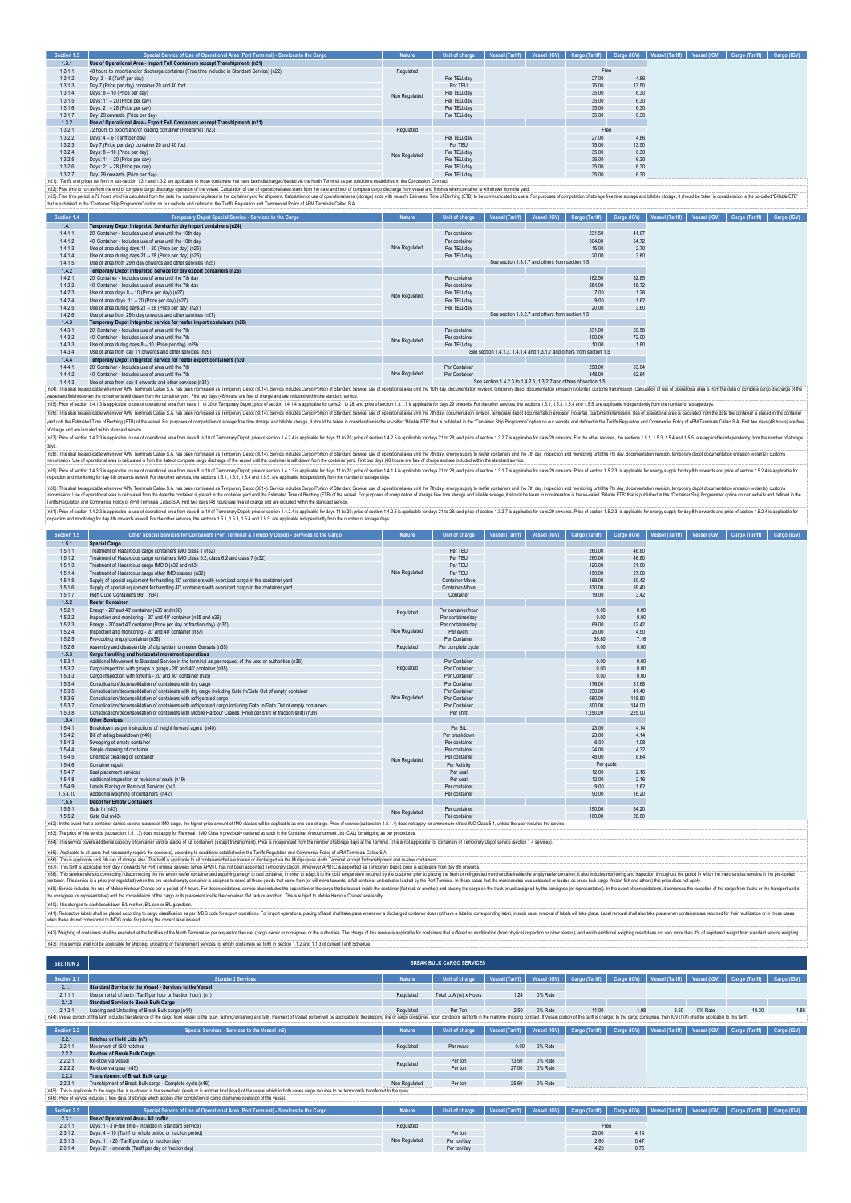| Section 1.3 | Special Service of Use of Operational Area (Port Terminal) - Services to the Cargo                                                                                           | <b>Nature</b> | Unit of charge | Vessel (Tariff) | Vessel (IGV) | Cargo (Tariff) | Cargo (IGV) | Vessel (Tariff) | Vessel (IGV) | Cargo (Tariff) | Cargo (IGV) |
|-------------|------------------------------------------------------------------------------------------------------------------------------------------------------------------------------|---------------|----------------|-----------------|--------------|----------------|-------------|-----------------|--------------|----------------|-------------|
| 1.3.1       | Use of Operational Area - Import Full Containers (except Transhipment) (n21)                                                                                                 |               |                |                 |              |                |             |                 |              |                |             |
| 1.3.1.1     | 48 hours to import and/or discharge container (Free time included in Standard Service) (n22)                                                                                 | Regulated     |                |                 |              | Free           |             |                 |              |                |             |
| 1.3.1.2     | Day: 3 - 6 (Tariff per day)                                                                                                                                                  |               | Per TEU/day    |                 |              | 27.00          | 4.86        |                 |              |                |             |
| 1.3.1.3     | Day 7 (Price per day) container 20 and 40 foot                                                                                                                               |               | Por TEU        |                 |              | 75.00          | 13.50       |                 |              |                |             |
| 1.3.1.4     | Days: 8 - 10 (Price per day)                                                                                                                                                 | Non Regulated | Per TEU/day    |                 |              | 35.00          | 6.30        |                 |              |                |             |
| 1.3.1.5     | Days: 11 - 20 (Price per day)                                                                                                                                                |               | Per TEU/day    |                 |              | 35.00          | 6.30        |                 |              |                |             |
| 1.3.1.6     | Days: 21 - 28 (Price per day)                                                                                                                                                |               | Per TEU/day    |                 |              | 35.00          | 6.30        |                 |              |                |             |
| 1.3.1.7     | Day: 29 onwards (Price per day)                                                                                                                                              |               | Per TEU/day    |                 |              | 35.00          | 6.30        |                 |              |                |             |
| 1.3.2       | Use of Operational Area - Export Full Containers (except Transhipment) (n21)                                                                                                 |               |                |                 |              |                |             |                 |              |                |             |
| 1.3.2.1     | 72 hours to export and/or loading container (Free time) (n23)                                                                                                                | Regulated     |                |                 |              | Free           |             |                 |              |                |             |
| 1.3.2.2     | Days: 4 - 6 (Tariff per day)                                                                                                                                                 |               | Per TEU/day    |                 |              | 27.00          | 4.86        |                 |              |                |             |
| 1.3.2.3     | Day 7 (Price per day) container 20 and 40 foot                                                                                                                               |               | Por TEU        |                 |              | 75.00          | 13.50       |                 |              |                |             |
| 1.3.2.4     | Days: 8 - 10 (Price per day)                                                                                                                                                 | Non Regulated | Per TEU/day    |                 |              | 35.00          | 6.30        |                 |              |                |             |
| 1.3.2.5     | Days: 11 - 20 (Price per day)                                                                                                                                                |               | Per TEU/day    |                 |              | 35.00          | 6.30        |                 |              |                |             |
| 1.3.2.6     | Days: 21 - 28 (Price per day)                                                                                                                                                |               | Per TEU/day    |                 |              | 35.00          | 6.30        |                 |              |                |             |
| 1.3.2.7     | Day: 29 onwards (Price per day)                                                                                                                                              |               | Per TEU/day    |                 |              | 35.00          | 6.30        |                 |              |                |             |
|             | 60% Tallis and advanced in the contract 1.0 4.00 and 1.00 percent in the fact the basic final and the fact that Tambel as according a distribution to the Occasion Occurs in |               |                |                 |              |                |             |                 |              |                |             |

1.3.2.7 Day: 29 onwards (Price per day) Per TEU/day 35.00 6.30 (n21): Tariffs and prices set forth in sub-section 1.3.1 and 1.3.2 are applicable to those containers that have been discharged/loaded via the North Terminal as per conditions established in the Concession Contract. (n22): Free time to run as from the end of complete cargo discharge operation of the vessel. Calculation of use of operational area starts from the date and hour of complete cargo discharge from vessel and finishes when container is withdrawn from the yard. (n23): Free time period is 72 hours which is calculated from the date the container is placed in the container yard for shipment. Calculation of use of operational area (storage) ends with vessel's Estimated Time of Berthing (ETB) to be communicated to users. For purposes of computation of storage free time storage and billable storage, it should be taken in consideration is the so-called "Billable ETB" that is published in the "Container Ship Programme" option on our website and defined in the Tariffs Regulation and Commercial Policy of APM Terminals Callao S.A.

| Section 1.4 | Temporary Depot Special Service - Services to the Cargo               | <b>Nature</b> | Unit of charge | Vessel (Tariff)                                                      | Vessel (IGV)                                    | Cargo (Tariff) | Cargo (IGV) |  | Vessel (Tariff) | Vessel (IGV) | Cargo (Tariff) |  |  | Cargo (IGV) |
|-------------|-----------------------------------------------------------------------|---------------|----------------|----------------------------------------------------------------------|-------------------------------------------------|----------------|-------------|--|-----------------|--------------|----------------|--|--|-------------|
| 1.4.1       | Temporary Depot Integrated Service for dry import containers (n24)    |               |                |                                                                      |                                                 |                |             |  |                 |              |                |  |  |             |
| 1.4.1.1     | 20" Container - Includes use of area until the 10th day               |               | Per container  |                                                                      |                                                 | 231.50         | 41.67       |  |                 |              |                |  |  |             |
| 1.4.1.2     | 40' Container - Includes use of area until the 10th day               |               | Per container  |                                                                      |                                                 | 304.00         | 54.72       |  |                 |              |                |  |  |             |
| 1.4.1.3     | Use of area during days 11 - 20 (Price per day) (n25)                 | Non Regulated | Per TEU/day    |                                                                      |                                                 | 15.00          | 2.70        |  |                 |              |                |  |  |             |
| 1.4.1.4     | Use of area during days 21 - 28 (Price per day) (n25)                 |               | Per TEU/day    |                                                                      |                                                 | 20.00          | 3.60        |  |                 |              |                |  |  |             |
| 1.4.1.5     | Use of area from 29th day onwards and other services (n25)            |               |                |                                                                      | See section 1.3.1.7 and others from section 1.5 |                |             |  |                 |              |                |  |  |             |
| 1.4.2       | Temporary Depot Integrated Service for dry export containers (n26)    |               |                |                                                                      |                                                 |                |             |  |                 |              |                |  |  |             |
| 1.4.2.1     | 20' Container - Includes use of area until the 7th day                |               | Per container  |                                                                      |                                                 | 182.50         | 32.85       |  |                 |              |                |  |  |             |
| 1.4.2.2     | 40' Container - Includes use of area until the 7th day                |               | Per container  |                                                                      |                                                 | 254.00         | 45.72       |  |                 |              |                |  |  |             |
| 1.4.2.3     | Use of area days 8 - 10 (Price per day) (n27)                         | Non Regulated | Per TEU/day    |                                                                      |                                                 | 7.00           | 1.26        |  |                 |              |                |  |  |             |
| 1.4.2.4     | Use of area days 11 - 20 (Price per day) (n27)                        |               | Per TEU/day    |                                                                      |                                                 | 9.00           | 1.62        |  |                 |              |                |  |  |             |
| 1.4.2.5     | Use of area during days 21 - 28 (Price per day) (n27)                 |               | Per TEU/day    |                                                                      |                                                 | 20.00          | 3.60        |  |                 |              |                |  |  |             |
| 1.4.2.6     | Use of area from 29th day onwards and other services (n27)            |               |                |                                                                      | See section 1.3.2.7 and others from section 1.5 |                |             |  |                 |              |                |  |  |             |
| 1.4.3       | Temporary Depot integrated service for reefer import containers (n28) |               |                |                                                                      |                                                 |                |             |  |                 |              |                |  |  |             |
| 1.4.3.1     | 20' Container - Includes use of area until the 7th                    |               | Per container  |                                                                      |                                                 | 331.00         | 59.58       |  |                 |              |                |  |  |             |
| 1.4.3.2     | 40' Container - Includes use of area until the 7th                    | Non Regulated | Per container  |                                                                      |                                                 | 400.00         | 72.00       |  |                 |              |                |  |  |             |
| 1.4.3.3     | Use of area during days 8 - 10 (Price per day) (n29)                  |               | Per TEU/day    |                                                                      |                                                 | 10.00          | 1.80        |  |                 |              |                |  |  |             |
| 1.4.3.4     | Use of area from day 11 onwards and other services (n29)              |               |                | See section 1.4.1.3. 1.4.1.4 and 1.3.1.7 and others from section 1.5 |                                                 |                |             |  |                 |              |                |  |  |             |
| 1.4.4       | Temporary Depot integrated service for reefer export containers (n30) |               |                |                                                                      |                                                 |                |             |  |                 |              |                |  |  |             |
| 1.4.4.1     | 20' Container - Includes use of area until the 7th                    |               | Per Container  |                                                                      |                                                 | 298.00         | 53.64       |  |                 |              |                |  |  |             |
| 1.4.4.2     | 40' Container - Includes use of area until the 7th                    | Non Regulated | Per Container  |                                                                      |                                                 | 348.00         | 62.64       |  |                 |              |                |  |  |             |
|             | .                                                                     |               |                |                                                                      |                                                 |                |             |  |                 |              |                |  |  |             |

1.4.4 40" Container-Includes use of area until the 7th<br>1.4.4 Use of access the main of a constant of the 7th state in the 7th state of the Main Section 1.4.1.1.2.1.1.2.2.1.1.2.2.1.1.2.2.1.1.2.2.2.1.1.2.2.1.1.2.2.1.1.2.1.1.

instille appliable where AM ismuid Claic SA ha been nomind at impose play plays in the induction in a state of the state of the state of the state of the state of the state of the state of the state of the state of the sta of charge and are included within standard service.

(n2): Price of section 1.4.2.3 is applicable to the of operational area form days to the film point of the splicable for days 11 to 20; price of section 1.2.2 is applicable for days 21 to 22; and price of section 1.2.2.7 i

in25: his shills applicable when we AMI feminis Calical Scheman Handida is improvided in the individual man in the stand of the stand of the stand of the stand of the stand of the stand of the stand of the stand of the con (n2)) Price of May a special bused ous of our offer that in the most of offers and most present in the special of the Christian and the special of Aris and the special of Aris and the special of Aris and the special indepe

(n3)). This shall be applicable whenexe APM Terminos Callo S.A. has been nomined as Tempory Depot (3014). Senice includes Capo Portion of Standard Sannos Depot of Standard and the This diversity present produces with the S

(n3)) Fries of 4.2 is applicable to use of our allow that the most of of Ferrora is a splate in the state of the Chicago in Allow the State of Allow the State of Allow the State Allow the State of Allow the State Allow the

| Section 1.5 | <b>Other Special Services for Containers (Port Terminal &amp; Tempory Depot) - Services to the Cargo</b>           | Nature        | Unit of charge     |  |           |        | Vessel (Tariff)   Vessel (IGV)   Cargo (Tariff)   Cargo (IGV)   Vessel (Tariff)   Vessel (IGV)   Cargo (Tariff)  <br>Cargo (IGV) |
|-------------|--------------------------------------------------------------------------------------------------------------------|---------------|--------------------|--|-----------|--------|----------------------------------------------------------------------------------------------------------------------------------|
| 1.5.1       | Special Cargo                                                                                                      |               |                    |  |           |        |                                                                                                                                  |
| 1.5.1.1     | Treatment of Hazardous cargo containers IMO class 1 (n32)                                                          |               | Per TEU            |  | 260.00    | 46.80  |                                                                                                                                  |
| 1.5.1.2     | Treatment of Hazardous cargo containers IMO class 5.2, class 6.2 and class 7 (n32)                                 |               | Per TEU            |  | 260.00    | 46.80  |                                                                                                                                  |
| 1.5.1.3     | Treatment of Hazardous cargo IMO 9 (n32 and n33)                                                                   |               | Per TEU            |  | 120.00    | 21.60  |                                                                                                                                  |
| 1.5.1.4     | Treatment of Hazardous cargo other IMO classes (n32)                                                               | Non Regulated | Per TEU            |  | 150.00    | 27.00  |                                                                                                                                  |
| 1.5.1.5     | Supply of special equipment for handling 20' containers with oversized cargo in the container yard                 |               | Container-Move     |  | 169.00    | 30.42  |                                                                                                                                  |
| 1.5.1.6     | Supply of special equipment for handling 40' containers with oversized cargo in the container vard                 |               | Container-Move     |  | 330.00    | 59.40  |                                                                                                                                  |
| 1.5.1.7     | High Cube Containers 9'6" (n34)                                                                                    |               | Container          |  | 19.00     | 3.42   |                                                                                                                                  |
| 1.5.2       | <b>Reefer Container</b>                                                                                            |               |                    |  |           |        |                                                                                                                                  |
| 1.5.2.1     | Energy - 20' and 40' container (n35 and n36)                                                                       |               | Per container/hour |  | 0.00      | 0.00   |                                                                                                                                  |
| 1.5.2.2     | Inspection and monitoring - 20' and 40' container (n35 and n36)                                                    | Regulated     | Per container/day  |  | 0.00      | 0.00   |                                                                                                                                  |
| 1.5.2.3     | Energy - 20' and 40' container (Price per day or fraction day) (n37)                                               |               | Per container/day  |  | 69.00     | 12.42  |                                                                                                                                  |
| 1.5.2.4     | Inspection and monitoring - 20' and 40' container (n37)                                                            | Non Regulated | Per event          |  | 25.00     | 4.50   |                                                                                                                                  |
| 1.5.2.5     | Pre-cooling empty container (n38)                                                                                  |               | Per Container      |  | 39.80     | 7.16   |                                                                                                                                  |
| 1.5.2.6     | Assembly and disassembly of clip system on reefer Gensets (n35)                                                    | Regulated     | Per complete cycle |  | 0.00      | 0.00   |                                                                                                                                  |
| 1.5.3       | Cargo Handling and horizontal movement operations                                                                  |               |                    |  |           |        |                                                                                                                                  |
| 1.5.3.1     | Additional Movement to Standard Service in the terminal as per request of the user or authorities (n35)            |               | Per Container      |  | 0.00      | 0.00   |                                                                                                                                  |
| 1.5.3.2     | Cargo inspection with groups o gangs - 20' and 40' container (n35)                                                 | Regulated     | Per Container      |  | 0.00      | 0.00   |                                                                                                                                  |
| 1.5.3.3     | Cargo inspection with forklifts - 20' and 40' container (n35)                                                      |               | Per Container      |  | 0.00      | 0.00   |                                                                                                                                  |
| 1.5.3.4     | Consolidation/deconsolidation of containers with dry cargo                                                         |               | Per Container      |  | 176.00    | 31.68  |                                                                                                                                  |
| 1.5.3.5     | Consolidation/deconsolidation of containers with dry cargo including Gate In/Gate Out of empty container           |               | Per Container      |  | 230.00    | 41.40  |                                                                                                                                  |
| 1.5.3.6     | Consolidation/deconsolidation of containers with refrigerated cargo                                                | Non Regulated | Per Container      |  | 660.00    | 118.80 |                                                                                                                                  |
| 1.5.3.7     | Consolidation/deconsolidation of containers with refrigerated cargo including Gate In/Gate Out of empty containers |               | Per Container      |  | 800.00    | 144.00 |                                                                                                                                  |
| 1.5.3.8     | Consolidation/deconsolidation of containers with Mobile Harbour Cranes (Price per shift or fraction shift) (n39)   |               | Per shift          |  | 1,250.00  | 225.00 |                                                                                                                                  |
| 1.5.4       | <b>Other Services</b>                                                                                              |               |                    |  |           |        |                                                                                                                                  |
| 1.5.4.1     | Breakdown as per instructions of freight forward agent (n40)                                                       |               | Per B/L            |  | 23.00     | 4.14   |                                                                                                                                  |
| 1.5.4.2     | Bill of lading breakdown (n40)                                                                                     |               | Per breakdown      |  | 23.00     | 4.14   |                                                                                                                                  |
| 1.5.4.3     | Sweeping of empty container                                                                                        |               | Per container      |  | 6.00      | 1.08   |                                                                                                                                  |
| 1.5.4.4     | Simple cleaning of container                                                                                       |               | Per container      |  | 24.00     | 4.32   |                                                                                                                                  |
| 1.5.4.5     | Chemical cleaning of container                                                                                     | Non Regulated | Per container      |  | 48.00     | 8.64   |                                                                                                                                  |
| 1.5.4.6     | Container repair                                                                                                   |               | Per Activity       |  | Per guote |        |                                                                                                                                  |
| 1.5.4.7     | Seal placement services                                                                                            |               | Per seal           |  | 12.00     | 2.16   |                                                                                                                                  |
| 1.5.4.8     | Additional inspection or revision of seals (n19)                                                                   |               | Per seal           |  | 12.00     | 2.16   |                                                                                                                                  |
| 1.5.4.9     | Labels Placing or Removal Services (n41)                                                                           |               | Per container      |  | 9.00      | 1.62   |                                                                                                                                  |
| 1.5.4.10    | Additional weighing of containers (n42)                                                                            |               | Per container      |  | 90.00     | 16.20  |                                                                                                                                  |
| 1.5.5       | <b>Depot for Empty Containers</b>                                                                                  |               |                    |  |           |        |                                                                                                                                  |
|             | Gate In (n43)                                                                                                      | Non Regulated | Per container      |  | 190.00    | 34.20  |                                                                                                                                  |
| 1.5.5.1     |                                                                                                                    |               |                    |  |           | 28.80  |                                                                                                                                  |

(n39): Service includes the use of Mobile Harbour Cranes por a period of 4 hours. For deconsolidations, service also includes the separation of the cargo that is located inside the container (flat rack or another) and plac (63): The price of this serice (subsetion 1.5.1.3) does not apply to Fehrmal - IMO Gass 9 previously declared as such in the Container Amountement List (CAL) or shiping as per procedures,<br>(63): This term covers constant an

the consignee (or representative) and the consolidation of the cargo or its placement inside the container (flat rack or another). This is subject to Mobile Harbour Cranes' availability.<br>(n40): It is charged to each breakd (+1)) respecte abe the place accounts complementation as produced about a substitute in the place of the state of the state of the state of the state of the state of the state of the state of the state of the state of the

.<br>All Weighing of containes shall be executed at the Boilies of the North Terminal as per request of the user (cargo owner or consignee) or the authories. The charge of this service is applicable for containers that suffer

:<br>: (n43): This service shall not be applicable for shipping, unloading or transhipment services for empty containers set forth in Section 1.1.2 and 1.1.3 of current Tariff Schedule.

| <b>SECTION 2</b> |                                                                                                                                                                                                                                |               | <b>BREAK BULK CARGO SERVICES</b> |                 |              |                |             |                 |              |                |             |
|------------------|--------------------------------------------------------------------------------------------------------------------------------------------------------------------------------------------------------------------------------|---------------|----------------------------------|-----------------|--------------|----------------|-------------|-----------------|--------------|----------------|-------------|
| Section 2.1      | <b>Standard Services</b>                                                                                                                                                                                                       | <b>Nature</b> | Unit of charge                   | Vessel (Tariff) | Vessel (IGV) | Cargo (Tariff) | Cargo (IGV) | Vessel (Tariff) | Vessel (IGV) | Cargo (Tariff) | Cargo (IGV) |
| 2.1.1            | Standard Service to the Vessel - Services to the Vessel                                                                                                                                                                        |               |                                  |                 |              |                |             |                 |              |                |             |
| 2.1.1.1          | Use or rental of berth (Tariff per hour or fraction hour) (n1)                                                                                                                                                                 | Regulated     | Total LoA (m) x Hours            | 1.24            | 0% Rate      |                |             |                 |              |                |             |
| 2.1.2            | <b>Standard Service to Break Bulk Cargo</b>                                                                                                                                                                                    |               |                                  |                 |              |                |             |                 |              |                |             |
| 2.1.2.1          | Loading and Unloading of Break Bulk cargo (n44)                                                                                                                                                                                | Regulated     | Per Ton                          | 2.50            | 0% Rate      | 11.00          | 1.98        | 2.50            | 0% Rate      | 10.30          | 1.85        |
|                  | (n44): Vessel portion of this tariff includes transference of the cargo from vessel to the quay, lashing/unlashing and tally. Payment of Vessel portion will be applicable to the stripping line or cargo consignee, upon cond |               |                                  |                 |              |                |             |                 |              |                |             |
|                  |                                                                                                                                                                                                                                |               |                                  |                 |              |                |             |                 |              |                |             |
| Section 2.2      | Special Services - Services to the Vessel (n6)                                                                                                                                                                                 | Nature        | Unit of charge                   | Vessel (Tariff) | Vessel (IGV) | Cargo (Tariff) | Cargo (IGV) | Vessel (Tariff) | Vessel (IGV) | Cargo (Tariff) | Cargo (IGV) |
| 2.2.1            | Hatches or Hold Lids (n7)                                                                                                                                                                                                      |               |                                  |                 |              |                |             |                 |              |                |             |
| 2.2.1.1          | Movement of ISO hatches                                                                                                                                                                                                        | Regulated     | Per move                         | 0.00            | 0% Rate      |                |             |                 |              |                |             |
| 2.2.2            | Re-stow of Break Bulk Cargo                                                                                                                                                                                                    |               |                                  |                 |              |                |             |                 |              |                |             |
| 2.2.2.1          | Re-stow via vessel                                                                                                                                                                                                             | Regulated     | Per ton                          | 13.50           | 0% Rate      |                |             |                 |              |                |             |
| 2.2.2.2          | Re-stow via quay (n45)                                                                                                                                                                                                         |               | Per ton                          | 27.00           | 0% Rate      |                |             |                 |              |                |             |
| 2.2.3            | <b>Transhipment of Break Bulk cargo</b>                                                                                                                                                                                        |               |                                  |                 |              |                |             |                 |              |                |             |
| 2.2.3.1          | Transhipment of Break Bulk cargo - Complete cycle (n46)                                                                                                                                                                        | Non Regulated | Per ton                          | 25.60           | 0% Rate      |                |             |                 |              |                |             |
|                  | (n45): This is applicable to the cargo that is re-stowed in the same hold (level) or in another hold (level) of the vessel which in both cases cargo requires to be temporarly transferred to the quay.                        |               |                                  |                 |              |                |             |                 |              |                |             |
|                  | (n46): Price of service includes 3 free days of storage which applies after completion of cargo discharge operation of the vessel.                                                                                             |               |                                  |                 |              |                |             |                 |              |                |             |
|                  |                                                                                                                                                                                                                                |               |                                  |                 |              |                |             |                 |              |                |             |
| Section 2.3      | Special Service of Use of Operational Area (Port Terminal) - Services to the Cargo                                                                                                                                             | <b>Nature</b> | Unit of charge                   | Vessel (Tariff) | Vessel (IGV) | Cargo (Tariff) | Cargo (IGV) | Vessel (Tariff) | Vessel (IGV) | Cargo (Tariff) | Cargo (IGV) |
| 2.3.1            | Use of Operational Area - All traffic                                                                                                                                                                                          |               |                                  |                 |              |                |             |                 |              |                |             |
| 2.3.1.1          | Days: 1 - 3 (Free time - included in Standard Service)                                                                                                                                                                         | Regulated     |                                  |                 |              | Free           |             |                 |              |                |             |
| 2.3.1.2          | Days: 4 - 10 (Tariff for whole period or fraction period)                                                                                                                                                                      |               | Per ton                          |                 |              | 23.00          | 4.14        |                 |              |                |             |

Non Regulated

2.3.1.3 Days: 11 - 20 (Tariff per day or fraction day) Per ton-day or fraction day or fraction day or fraction<br>2.3.1.4 Days: 21 - onwards (Tariff per day or fraction day) Per ton-day and the controller per ton-day 4.20 0.7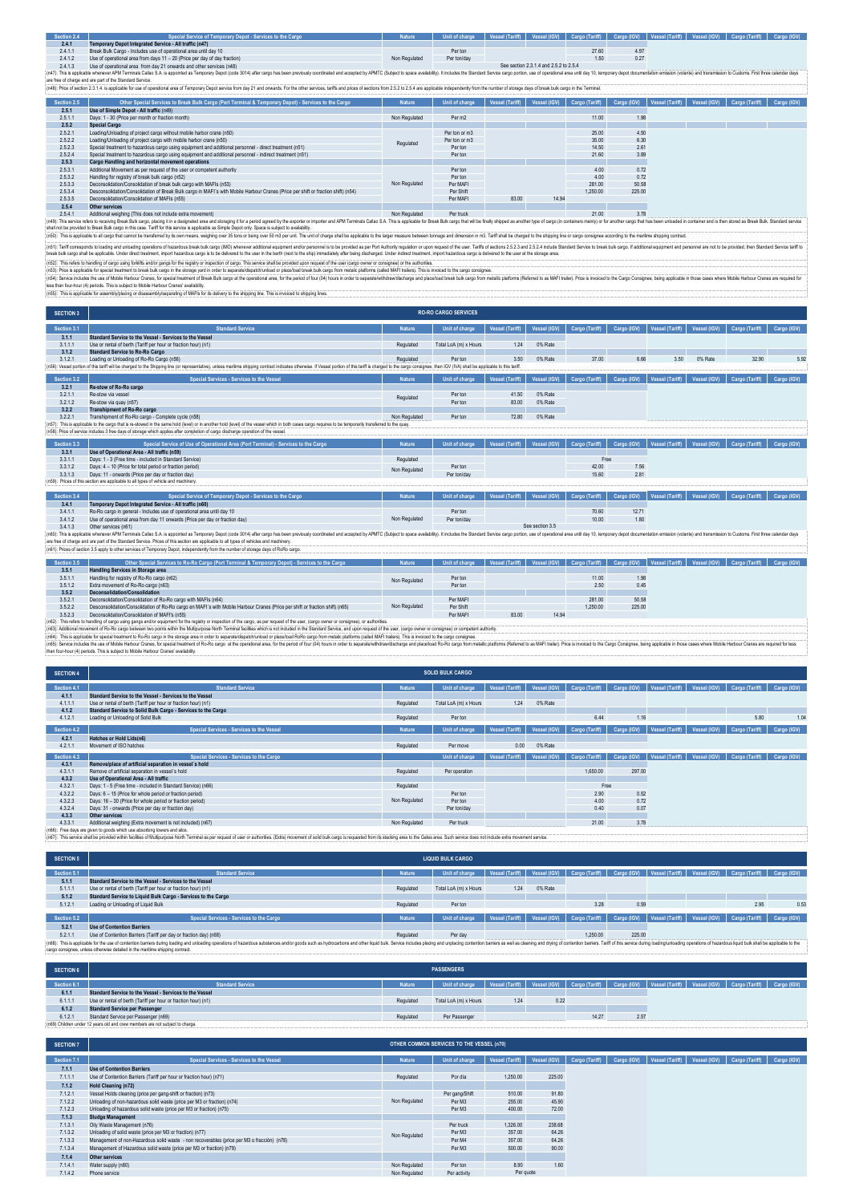| Section 2.4 | Special Service of Temporary Depot - Services to the Cargo                                                                                                                                                                     |               | Unit of charge   Vessel (Tariff)   Vessel (IGV)   Cargo (Tariff)   Cargo (IGV)   Vessel (Tariff)   Vessel (IGV)   Cargo (Tariff)   Cargo (IGV) |                                        |       |  |  |  |
|-------------|--------------------------------------------------------------------------------------------------------------------------------------------------------------------------------------------------------------------------------|---------------|------------------------------------------------------------------------------------------------------------------------------------------------|----------------------------------------|-------|--|--|--|
| 2.4.1       | Temporary Depot Integrated Service - All traffic (n47)                                                                                                                                                                         |               |                                                                                                                                                |                                        |       |  |  |  |
| 2.4.1.1     | Break Bulk Cargo - Includes use of operational area until day 10                                                                                                                                                               |               | Per ton                                                                                                                                        |                                        | 27.60 |  |  |  |
| 2412        | Use of operational area from days 11 - 20 (Price per day of day fraction)                                                                                                                                                      | Non Regulated | Per ton/day                                                                                                                                    |                                        |       |  |  |  |
| 2.4.1.3     | Use of operational area from day 21 onwards and other services (n48)                                                                                                                                                           |               |                                                                                                                                                | See section 2.3.1.4 and 2.5.2 to 2.5.4 |       |  |  |  |
|             | 14476 This bushade change Alle Catalog Catalog Terms Catalog 2011 Alle Discovered and according the MATO Catalog Results and Catalog Catalog Catalog Catalog Catalog Catalog Catalog Catalog Catalog Catalog Catalog Catalog C |               |                                                                                                                                                |                                        |       |  |  |  |

(M): This applable whener APM Termials Calles S.A. appointed as Tempory Dept (code 3014) after cargo has been previously condinated and accepted by APMTC (Subject space availability). It includes the cargo porton, use of o

| Section 2.5 | Other Special Services to Break Bulk Cargo (Port Terminal & Temporary Depot) - Services to the Cargo                              | <b>Nature</b> | Unit of charge     | Vessel (Tariff) |       |          |        |  | Vessel (IGV)   Cargo (Tariff)   Cargo (IGV)   Vessel (Tariff)   Vessel (IGV)   Cargo (Tariff)   Cargo (IGV) |  |
|-------------|-----------------------------------------------------------------------------------------------------------------------------------|---------------|--------------------|-----------------|-------|----------|--------|--|-------------------------------------------------------------------------------------------------------------|--|
| 2.5.1       | Use of Simple Depot - All traffic (n49)                                                                                           |               |                    |                 |       |          |        |  |                                                                                                             |  |
| 2.5.1.1     | Days: 1 - 30 (Price per month or fraction month)                                                                                  | Non Regulated | Per m <sub>2</sub> |                 |       | 11.00    | 1.98   |  |                                                                                                             |  |
| 2.5.2       | <b>Special Cargo</b>                                                                                                              |               |                    |                 |       |          |        |  |                                                                                                             |  |
| 2.5.2.1     | Loading/Unloading of project cargo without mobile harbor crane (n50)                                                              |               | Per ton or m3      |                 |       | 25.00    | 4.50   |  |                                                                                                             |  |
| 2.5.2.2     | Loading/Unloading of project cargo with mobile harbor crane (n50)                                                                 | Regulated     | Per ton or m3      |                 |       | 35.00    | 6.30   |  |                                                                                                             |  |
| 2.5.2.3     | Special treatment to hazardous cargo using equipment and additional personnel - direct treatment (n51)                            |               | Per ton            |                 |       | 14.50    | 2.61   |  |                                                                                                             |  |
| 2.5.2.4     | Special treatment to hazardous cargo using equipment and additional personnel - indirect treatment (n51)                          |               | Per ton            |                 |       | 21.60    | 3.89   |  |                                                                                                             |  |
| 2.5.3       | Cargo Handling and horizontal movement operations                                                                                 |               |                    |                 |       |          |        |  |                                                                                                             |  |
| 2.5.3.1     | Additional Movement as per request of the user or competent authority                                                             |               | Per ton            |                 |       | 4.00     | 0.72   |  |                                                                                                             |  |
| 2.5.3.2     | Handling for registry of break bulk cargo (n52)                                                                                   |               | Per ton            |                 |       | 4.00     | 0.72   |  |                                                                                                             |  |
| 2.5.3.3     | Deconsolidation/Consolidation of break bulk cargo with MAFIs (n53)                                                                | Non Regulated | Per MAFI           |                 |       | 281.00   | 50.58  |  |                                                                                                             |  |
| 2.5.3.4     | Desconsolidation/Consolidation of Break Bulk cargo in MAFI's with Mobile Harbour Cranes (Price per shift or fraction shift) (n54) |               | Per Shift          |                 |       | 1.250.00 | 225.00 |  |                                                                                                             |  |
| 2.5.3.5     | Deconsolidation/Consolidation of MAFIs (n55)                                                                                      |               | Per MAFI           | 83.00           | 14.94 |          |        |  |                                                                                                             |  |
| 2.5.4       | Other services                                                                                                                    |               |                    |                 |       |          |        |  |                                                                                                             |  |
|             | ,我们就是一个人的人,我们就是一个人的人,我们就是一个人的人,我们就是一个人的人,我们就是一个人的人,我们就是一个人的人,我们就是一个人的人,我们就是一个人的人                                                  |               |                    |                 |       |          |        |  |                                                                                                             |  |

254 Otherservices<br>https://www.educarchive.com/instants/instants/instants/instants/instants/instants/instants/instants/instants/instants/instants/instants/instants/instants/instants/instants/instants/instants/instants/insta

(n5)); Galf on the main of the main of the main of the main of the main of MO whener adding the main of the main of the main of the main of the main of the main of the main of the main of the main of the main of the main o

(nS2). This refers to handing of cargo strights and/or gang for the registry or inspection of cargo. This service shall be provided upon request of the user (cargo owner or consignee) or the authorities.<br>(nS3): Price is ap

(n54): Service includes the use of Mobile Harbour Cranes, for special treatment of Break Bulk cargo at the operational area, for the period of four (04) hours in order to separate/withdraw/discharge and place/bad break bul less than four-hour (4) periods. This is subject to Mobile Harbour Cranes' availability.<br>(n55): This is applicable for assembly|placing or disassembly/separating of MAFIs for its delivery to the shipping of the simulced to

| <b>SECTION 3</b> |                                                                                                                                                                                                                                |               | <b>RO-RO CARGO SERVICES</b> |                        |                 |                |             |                 |              |                |             |
|------------------|--------------------------------------------------------------------------------------------------------------------------------------------------------------------------------------------------------------------------------|---------------|-----------------------------|------------------------|-----------------|----------------|-------------|-----------------|--------------|----------------|-------------|
| Section 3.1      | <b>Standard Service</b>                                                                                                                                                                                                        | <b>Nature</b> | Unit of charge              | Vessel (Tariff)        | Vessel (IGV)    | Cargo (Tariff) | Cargo (IGV) | Vessel (Tariff) | Vessel (IGV) | Cargo (Tariff) | Cargo (IGV) |
| 3.1.1            | Standard Service to the Vessel - Services to the Vessel                                                                                                                                                                        |               |                             |                        |                 |                |             |                 |              |                |             |
| 3.1.1.1          | Use or rental of berth (Tariff per hour or fraction hour) (n1)                                                                                                                                                                 | Regulated     | Total LoA (m) x Hours       | 1.24                   | 0% Rate         |                |             |                 |              |                |             |
| 3.1.2            | <b>Standard Service to Ro-Ro Cargo</b>                                                                                                                                                                                         |               |                             |                        |                 |                |             |                 |              |                |             |
| 3.1.2.1          | Loading or Unloading of Ro-Ro Cargo (n56)                                                                                                                                                                                      | Regulated     | Per ton                     | 3.50                   | 0% Rate         | 37.00          | 6.66        | 3.50            | 0% Rate      | 32.90          | 5.92        |
|                  | (n56): Vessel portion of this tariff will be charged to the Shipping line (or representative), unless maritime shipping contract indicates otherwise. If Vessel portion of this tariff is charged to the cargo consignee, then |               |                             |                        |                 |                |             |                 |              |                |             |
| Section 3.2      | Special Services - Services to the Vessel                                                                                                                                                                                      | <b>Nature</b> | Unit of charge              | <b>Vessel (Tariff)</b> | Vessel (IGV)    | Cargo (Tariff) | Cargo (IGV) | Vessel (Tariff) | Vessel (IGV) | Cargo (Tariff) | Cargo (IGV) |
| 3.2.1            | Re-stow of Ro-Ro cargo                                                                                                                                                                                                         |               |                             |                        |                 |                |             |                 |              |                |             |
| 3.2.1.1          | Re-stow via vessel                                                                                                                                                                                                             |               | Per ton                     | 41.50                  | 0% Rate         |                |             |                 |              |                |             |
| 3.2.1.2          | Re-stow via quay (n57)                                                                                                                                                                                                         | Regulated     | Per ton                     | 83.00                  | 0% Rate         |                |             |                 |              |                |             |
| 3.2.2            | <b>Transhipment of Ro-Ro cargo</b>                                                                                                                                                                                             |               |                             |                        |                 |                |             |                 |              |                |             |
| 3.2.2.1          | Transhipment of Ro-Ro cargo - Complete cycle (n58)                                                                                                                                                                             | Non Regulated | Per ton                     | 72.80                  | 0% Rate         |                |             |                 |              |                |             |
|                  | (n57): This is applicable to the cargo that is re-stowed in the same hold (level) or in another hold (level) of the vessel which in both cases cargo requires to be temporarily transferred to the quay.                       |               |                             |                        |                 |                |             |                 |              |                |             |
|                  | (n58): Price of service includes 3 free days of storage which applies after completion of cargo discharge operation of the vessel.                                                                                             |               |                             |                        |                 |                |             |                 |              |                |             |
| Section 3.3      | Special Service of Use of Operational Area (Port Terminal) - Services to the Cargo                                                                                                                                             | <b>Nature</b> | Unit of charge              | Vessel (Tariff)        | Vessel (IGV)    | Cargo (Tariff) | Cargo (IGV) | Vessel (Tariff) | Vessel (IGV) | Cargo (Tariff) | Cargo (IGV) |
| 3.3.1            | Use of Operational Area - All traffic (n59)                                                                                                                                                                                    |               |                             |                        |                 |                |             |                 |              |                |             |
| 3.3.1.1          | Days: 1 - 3 (Free time - included in Standard Service)                                                                                                                                                                         | Regulated     |                             |                        |                 | Free           |             |                 |              |                |             |
| 3.3.1.2          | Days: 4 - 10 (Price for total period or fraction period)                                                                                                                                                                       | Non Regulated | Per ton                     |                        |                 | 42.00          | 7.56        |                 |              |                |             |
| 3.3.1.3          | Days: 11 - onwards (Price per day or fraction day)                                                                                                                                                                             |               | Per ton/day                 |                        |                 | 15.60          | 2.81        |                 |              |                |             |
|                  | (n59): Prices of this section are applicable to all types of vehicle and machinery.                                                                                                                                            |               |                             |                        |                 |                |             |                 |              |                |             |
| Section 3.4      | Special Service of Temporary Depot - Services to the Cargo                                                                                                                                                                     | <b>Nature</b> | Unit of charge              | <b>Vessel (Tariff)</b> | Vessel (IGV)    | Cargo (Tariff) | Cargo (IGV) | Vessel (Tariff) | Vessel (IGV) | Cargo (Tariff) | Cargo (IGV) |
| 3.4.1            | Temporary Depot Integrated Service - All traffic (n60)                                                                                                                                                                         |               |                             |                        |                 |                |             |                 |              |                |             |
| 3.4.1.1          | Ro-Ro cargo in general - Includes use of operational area until day 10                                                                                                                                                         |               | Per ton                     |                        |                 | 70.60          | 12.71       |                 |              |                |             |
| 3.4.1.2          | Use of operational area from day 11 onwards (Price per day or fraction day)                                                                                                                                                    | Non Regulated | Per ton/day                 |                        |                 | 10.00          | 1.80        |                 |              |                |             |
| 3.4.1.3          | Other services (n61)                                                                                                                                                                                                           |               |                             |                        | See section 3.5 |                |             |                 |              |                |             |
|                  | (n60): This is applicable whenever APM Terminals Callao S.A. is appointed as Temporary Depot (code 3014) after cargo has been previously coordinated and accepted by APMTC (Subject to space availability). It includes the St |               |                             |                        |                 |                |             |                 |              |                |             |
|                  | are free of charge and are part of the Standard Service. Prices of this section are applicable to all types of vehicles and machinery.                                                                                         |               |                             |                        |                 |                |             |                 |              |                |             |

|             | : (n61): Prices of section 3.5 apply to other services of Temporary Depot, independently from the number of storage days of RoRo cargo. |               |                                                                                                                                                |       |       |          |        |  |  |
|-------------|-----------------------------------------------------------------------------------------------------------------------------------------|---------------|------------------------------------------------------------------------------------------------------------------------------------------------|-------|-------|----------|--------|--|--|
| Section 3.5 | Other Special Services to Ro-Ro Cargo (Port Terminal & Temporary Depot) - Services to the Cargo                                         | <b>Nature</b> | Unit of charge   Vessel (Tariff)   Vessel (IGV)   Cargo (Tariff)   Cargo (IGV)   Vessel (Tariff)   Vessel (IGV)   Cargo (Tariff)   Cargo (IGV) |       |       |          |        |  |  |
| 3.5.1       | Handling Services in Storage area                                                                                                       |               |                                                                                                                                                |       |       |          |        |  |  |
| 3.5.1.1     | Handling for registry of Ro-Ro cargo (n62)                                                                                              | Non Regulated | Per ton                                                                                                                                        |       |       | 11.00    | 1.98   |  |  |
| 3.5.1.2     | Extra movement of Ro-Ro cargo (n63)                                                                                                     |               | Per ton                                                                                                                                        |       |       |          | 0.45   |  |  |
| 3.5.2       | Deconsolidation/Consolidation                                                                                                           |               |                                                                                                                                                |       |       |          |        |  |  |
| 3.5.2.1     | Deconsolidation/Consolidation of Ro-Ro cargo with MAFIs (n64)                                                                           |               | Per MAFI                                                                                                                                       |       |       | 281.00   | 50.58  |  |  |
| 3.5.2.2     | Desconsolidation/Consolidation of Ro-Ro cargo en MAFI's with Mobile Harbour Cranes (Price per shift or fraction shift) (n65)            | Non Regulated | Per Shift                                                                                                                                      |       |       | 1.250.00 | 225.00 |  |  |
| 3.5.2.3     | Deconsolidation/Consolidation of MAFI's (n55)                                                                                           |               | Per MAFI                                                                                                                                       | 83.00 | 14.94 |          |        |  |  |

(n62) : This refers to handling of cargo using gangs and/or equipment for the registry or inspection of the cargo, as per request of the user, (cargo owner or consignee), or authorities.

(n63). Addition movement of b-Roung bleaving this has a movement of Remain and Harbury and Harbury and the technology and the technology and the technology and the technology and the technology and the state of the state o

| <b>SECTION 4</b> |                                                                                                                                                                                                                                                                                                             |               | <b>SOLID BULK CARGO</b> |                 |              |                |             |                 |              |                                                                             |             |
|------------------|-------------------------------------------------------------------------------------------------------------------------------------------------------------------------------------------------------------------------------------------------------------------------------------------------------------|---------------|-------------------------|-----------------|--------------|----------------|-------------|-----------------|--------------|-----------------------------------------------------------------------------|-------------|
|                  |                                                                                                                                                                                                                                                                                                             |               |                         |                 |              |                |             |                 |              |                                                                             |             |
| Section 4.1      | <b>Standard Service</b>                                                                                                                                                                                                                                                                                     | <b>Nature</b> | Unit of charge          | Vessel (Tariff) | Vessel (IGV) | Cargo (Tariff) | Cargo (IGV) | Vessel (Tariff) |              | Vessel (IGV) Cargo (Tariff)                                                 | Cargo (IGV) |
| 4.1.1            | Standard Service to the Vessel - Services to the Vessel                                                                                                                                                                                                                                                     |               |                         |                 |              |                |             |                 |              |                                                                             |             |
| 4.1.1.1          | Use or rental of berth (Tariff per hour or fraction hour) (n1)                                                                                                                                                                                                                                              | Regulated     | Total LoA (m) x Hours   | 1.24            | 0% Rate      |                |             |                 |              |                                                                             |             |
| 4.1.2            | Standard Service to Solid Bulk Cargo - Services to the Cargo                                                                                                                                                                                                                                                |               |                         |                 |              |                |             |                 |              |                                                                             |             |
| 4.1.2.1          | Loading or Unloading of Solid Bulk                                                                                                                                                                                                                                                                          | Regulated     | Per ton                 |                 |              | 6.44           | 1.16        |                 |              | 5.80                                                                        | 1.04        |
| Section 4.2      | Special Services - Services to the Vessel                                                                                                                                                                                                                                                                   | <b>Nature</b> | Unit of charge          | Vessel (Tariff) | Vessel (IGV) | Cargo (Tariff) | Cargo (IGV) | Vessel (Tariff) | Vessel (IGV) | Cargo (Tariff)                                                              | Cargo (IGV) |
| 4.2.1            | Hatches or Hold Lids(n6)                                                                                                                                                                                                                                                                                    |               |                         |                 |              |                |             |                 |              |                                                                             |             |
| 4211             | Movement of ISO hatches                                                                                                                                                                                                                                                                                     | Regulated     | Per move                | 0.00            | 0% Rate      |                |             |                 |              |                                                                             |             |
| Section 4.3      | Special Services - Services to the Cargo                                                                                                                                                                                                                                                                    |               | Unit of charge          | Vessel (Tariff) | Vessel (IGV) | Cargo (Tariff) |             |                 |              | Cargo (IGV)   Vessel (Tariff)   Vessel (IGV)   Cargo (Tariff)   Cargo (IGV) |             |
|                  |                                                                                                                                                                                                                                                                                                             |               |                         |                 |              |                |             |                 |              |                                                                             |             |
| 4.3.1            | Remove/place of artificial separation in vessel's hold                                                                                                                                                                                                                                                      |               |                         |                 |              |                |             |                 |              |                                                                             |             |
| 4.3.1.1          | Remove of artificial separation in vessel's hold                                                                                                                                                                                                                                                            | Regulated     | Per operation           |                 |              | 1.650.00       | 297.00      |                 |              |                                                                             |             |
| 4.3.2            | Use of Operational Area - All traffic                                                                                                                                                                                                                                                                       |               |                         |                 |              |                |             |                 |              |                                                                             |             |
| 4.3.2.1          | Days: 1 - 5 (Free time - included in Standard Service) (n66)                                                                                                                                                                                                                                                | Regulated     |                         |                 |              | Free           |             |                 |              |                                                                             |             |
| 4.3.2.2          | Days: 6 - 15 (Price for whole period or fraction period)                                                                                                                                                                                                                                                    |               | Per ton                 |                 |              | 2.90           | 0.52        |                 |              |                                                                             |             |
| 4.3.2.3          | Days: 16 - 30 (Price for whole period or fraction period)                                                                                                                                                                                                                                                   | Non Regulated | Per ton                 |                 |              | 4.00           | 0.72        |                 |              |                                                                             |             |
| 4.3.2.4          | Days: 31 - onwards (Price per day or fraction day)                                                                                                                                                                                                                                                          |               | Per ton/day             |                 |              | 0.40           | 0.07        |                 |              |                                                                             |             |
| 4.3.3            | Other services                                                                                                                                                                                                                                                                                              |               |                         |                 |              |                |             |                 |              |                                                                             |             |
| 4.3.3.1          | Additional weighing (Extra movement is not included) (n67)                                                                                                                                                                                                                                                  | Non Regulated | Per truck               |                 |              | 21.00          | 3.78        |                 |              |                                                                             |             |
|                  | (n66): Free days are given to goods which use absorbing towers and silos.<br>(n67): This service shall be provided within facilities of Multipurpose North Terminal as per request of user or authorities. (Extra) movement of solid bulk cargo is requested from its stacking area to the Gates area. Such |               |                         |                 |              |                |             |                 |              |                                                                             |             |

| <b>SECTION 5</b> |                                                                                                                                                                                                                                |               | <b>LIQUID BULK CARGO</b> |      |         |                                                                                                                               |        |  |      |      |
|------------------|--------------------------------------------------------------------------------------------------------------------------------------------------------------------------------------------------------------------------------|---------------|--------------------------|------|---------|-------------------------------------------------------------------------------------------------------------------------------|--------|--|------|------|
| Section 5.1      | <b>Standard Service</b>                                                                                                                                                                                                        | <b>Nature</b> | Unit of charge           |      |         | Vessel (Tariff)   Vessel (IGV)   Cargo (Tariff)   Cargo (IGV)   Vessel (Tariff)   Vessel (IGV)   Cargo (Tariff)   Cargo (IGV) |        |  |      |      |
| 5.1.1            | Standard Service to the Vessel - Services to the Vessel                                                                                                                                                                        |               |                          |      |         |                                                                                                                               |        |  |      |      |
| 5.1.1.1          | Use or rental of berth (Tariff per hour or fraction hour) (n1)                                                                                                                                                                 | Regulated     | Total LoA (m) x Hours    | 1.24 | 0% Rate |                                                                                                                               |        |  |      |      |
| 5.1.2            | Standard Service to Liquid Bulk Cargo - Services to the Cargo                                                                                                                                                                  |               |                          |      |         |                                                                                                                               |        |  |      |      |
| 5.1.2.1          | Loading or Unloading of Liquid Bulk                                                                                                                                                                                            | Regulated     | Per ton                  |      |         | 3.28                                                                                                                          | 0.59   |  | 2.95 | 0.53 |
|                  |                                                                                                                                                                                                                                |               |                          |      |         |                                                                                                                               |        |  |      |      |
| Section 5.2      | Special Services - Services to the Cargo                                                                                                                                                                                       | <b>Nature</b> | Unit of charge           |      |         | Vessel (Tariff)   Vessel (IGV)   Cargo (Tariff)   Cargo (IGV)   Vessel (Tariff)   Vessel (IGV)   Cargo (Tariff)   Cargo (IGV) |        |  |      |      |
| 5.2.1            | <b>Use of Contention Barriers</b>                                                                                                                                                                                              |               |                          |      |         |                                                                                                                               |        |  |      |      |
| 5.2.1.1          | Use of Contention Barriers (Tariff per day or fraction day) (n68)                                                                                                                                                              | Regulated     | Per day                  |      |         | 1.250.00                                                                                                                      | 225.00 |  |      |      |
|                  | (n68): This is applicable for the use of contention barriers during loading and unloading operations of hazardous substances and/or goods such as hydrocarbons and other liquid bulk. Service includes placing and unplacing c |               |                          |      |         |                                                                                                                               |        |  |      |      |
|                  | cargo consignee, unless otherwise detailed in the maritime shipping contract.                                                                                                                                                  |               |                          |      |         |                                                                                                                               |        |  |      |      |

| <b>SECTION 6</b>                                                             | <b>PASSENGERS</b>                                              |               |                                                                                                                                                |      |      |       |      |  |  |  |  |
|------------------------------------------------------------------------------|----------------------------------------------------------------|---------------|------------------------------------------------------------------------------------------------------------------------------------------------|------|------|-------|------|--|--|--|--|
| Section 6.1                                                                  | <b>Standard Service</b>                                        | <b>Nature</b> | Unit of charge   Vessel (Tariff)   Vessel (IGV)   Cargo (Tariff)   Cargo (IGV)   Vessel (Tariff)   Vessel (IGV)   Cargo (Tariff)   Cargo (IGV) |      |      |       |      |  |  |  |  |
| 6.1.1                                                                        | Standard Service to the Vessel - Services to the Vessel        |               |                                                                                                                                                |      |      |       |      |  |  |  |  |
| 6.1.1.1                                                                      | Use or rental of berth (Tariff per hour or fraction hour) (n1) | Regulated     | Total LoA (m) x Hours                                                                                                                          | 1.24 | 0.22 |       |      |  |  |  |  |
| 6.1.2                                                                        | <b>Standard Service per Passenger</b>                          |               |                                                                                                                                                |      |      |       |      |  |  |  |  |
| 6.1.2.1                                                                      | Standard Service per Passenger (n69)                           | Regulated     | Per Passenger                                                                                                                                  |      |      | 14.27 | 2.57 |  |  |  |  |
| (n69) Children under 12 years old and crew members are not subject to charge |                                                                |               |                                                                                                                                                |      |      |       |      |  |  |  |  |

| <b>SECTION 7</b> | OTHER COMMON SERVICES TO THE VESSEL (n70)                                                  |               |                |                        |              |                |             |                 |              |                |             |
|------------------|--------------------------------------------------------------------------------------------|---------------|----------------|------------------------|--------------|----------------|-------------|-----------------|--------------|----------------|-------------|
| Section 7.1      | Special Services - Services to the Vessel                                                  | <b>Nature</b> | Unit of charge | <b>Vessel (Tariff)</b> | Vessel (IGV) | Cargo (Tariff) | Cargo (IGV) | Vessel (Tariff) | Vessel (IGV) | Cargo (Tariff) | Cargo (IGV) |
| 7.1.1            | <b>Use of Contention Barriers</b>                                                          |               |                |                        |              |                |             |                 |              |                |             |
| 7.1.1.1          | Use of Contention Barriers (Tariff per hour or fraction hour) (n71)                        | Regulated     | Por día        | 1,250.00               | 225.00       |                |             |                 |              |                |             |
| 7.1.2            | Hold Cleaning (n72)                                                                        |               |                |                        |              |                |             |                 |              |                |             |
| 7.1.2.1          | Vessel Holds cleaning (price per gang-shift or fraction) (n73)                             | Non Regulated | Per gang/Shift | 510.00                 | 91.80        |                |             |                 |              |                |             |
| 7.1.2.2          | Unloading of non-hazardous solid waste (price per M3 or fraction) (n74)                    |               | Per M3         | 255.00                 | 45.90        |                |             |                 |              |                |             |
| 7.1.2.3          | Unloading of hazardous solid waste (price per M3 or fraction) (n75)                        |               | Per M3         | 400.00                 | 72.00        |                |             |                 |              |                |             |
| 7.1.3            | <b>Sludge Management</b>                                                                   |               |                |                        |              |                |             |                 |              |                |             |
| 7.1.3.1          | Oily Waste Management (n76)                                                                | Non Regulated | Per truck      | 1.326.00               | 238.68       |                |             |                 |              |                |             |
| 7.1.3.2          | Unloading of solid waste (price per M3 or fraction) (n77)                                  |               | Per M3         | 357.00                 | 64.26        |                |             |                 |              |                |             |
| 7.1.3.3          | Management of non-Hazardous solid waste - non recoverables (price per M3 o fracción) (n78) |               | Per M4         | 357.00                 | 64.26        |                |             |                 |              |                |             |
| 7.1.3.4          | Management of Hazardous solid waste (price per M3 or fraction) (n79)                       |               | Per M3         | 500.00                 | 90.00        |                |             |                 |              |                |             |
| 7.1.4            | Other services                                                                             |               |                |                        |              |                |             |                 |              |                |             |
| 7.1.4.1          | Water supply (n80)                                                                         | Non Regulated | Per ton        | 8.90                   | 1.60         |                |             |                 |              |                |             |
| 7.1.4.2          | Phone service                                                                              | Non Regulated | Per activity   | Per quote              |              |                |             |                 |              |                |             |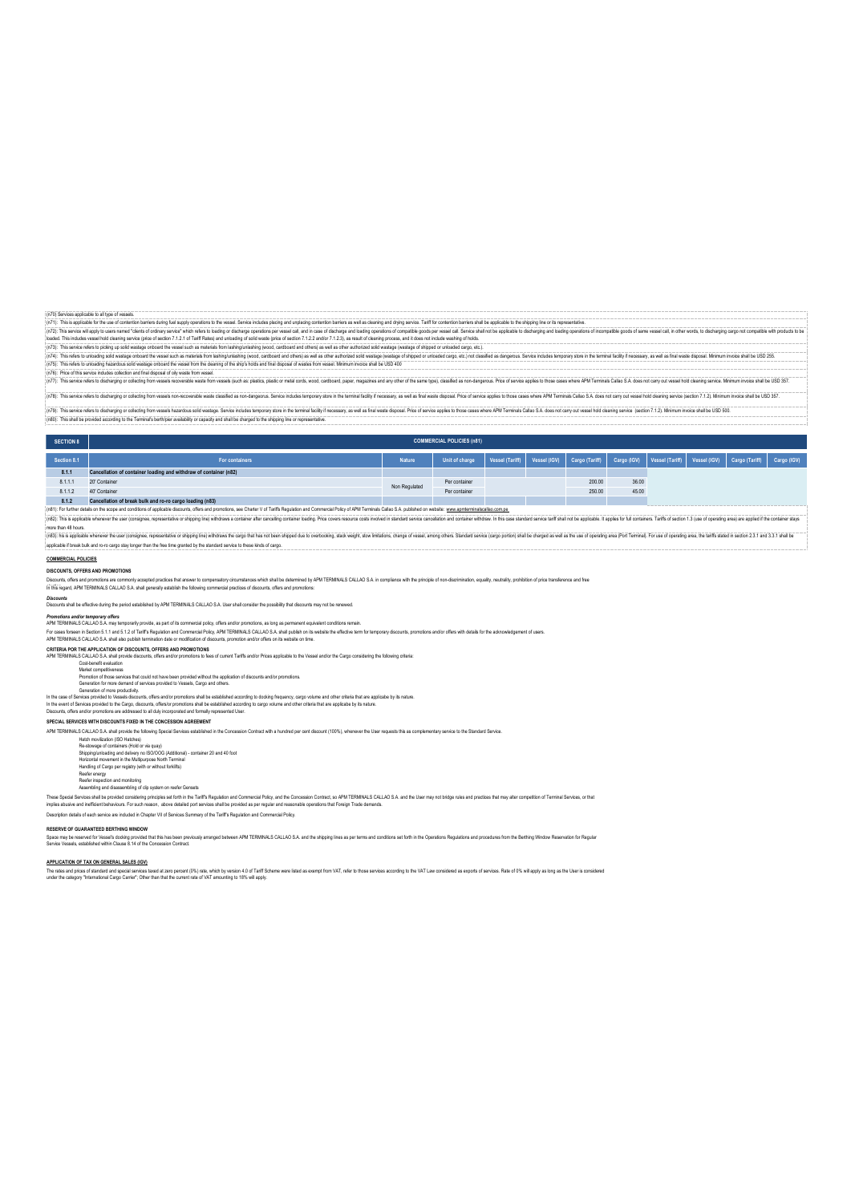(n?). This spickle to the us of contento benes durable apply operatos the wase! Grive include and a standard man and a standard and a standard and a standard and a standard standard and a standard standard standard standar (n70) Services applicable to all type of vessels.<br>(n71): This is applicable for the use of contention barriers during fuel supply operators to the vessel. Service includes placing and unplecing contention barriers are all

(ns refers to uncading axial waster or under the vessel such as interest in under waster of the ship's character was a warreleve was a warreleve on the cleaning of the ship's holds and final disposal of wastes from vessel. solid wastage officiality the vessel such as finale<br>hazardous solid wastage onboard the vessel fro<br>des collection and final disposal of oily waste fr

.<br>|n78: This coning rates th discharing nr rate-in the masses encouraged was described to machines to make initial terms of the larming farming of the descript of the advertise of the offered for anics and all the floor de rice a massive and an anti-section of the massive of what into was the massive and the state of the massive and a state of the state of the state of the state of the state of the state of the state of the state of the stat

(n79): This service refers to discharging or collecting from weares haractous cold wastage. Service includes temporary store in the terminal focity if necessary, as well as final waste disposal. Price of service applies to

(n80): This shall be provided according to the Terminal's berth/pier availability or capacity and shall be charged to the shipping line or representative.

# SECTION 8

| Section 8.1                                                                                                                                                                                                                    | For containers                                                    | <b>Nature</b> | Unit of charge | Vessel (Tariff)   Vessel (IGV)   Cargo (Tariff)   Cargo (IGV)   Vessel (Tariff)   Vessel (IGV)   Cargo (Tariff)   Cargo (IGV) |  |        |       |  |  |  |
|--------------------------------------------------------------------------------------------------------------------------------------------------------------------------------------------------------------------------------|-------------------------------------------------------------------|---------------|----------------|-------------------------------------------------------------------------------------------------------------------------------|--|--------|-------|--|--|--|
| 8.1.1                                                                                                                                                                                                                          | Cancellation of container loading and withdraw of container (n82) |               |                |                                                                                                                               |  |        |       |  |  |  |
| 8.1.1.1                                                                                                                                                                                                                        | 20" Container                                                     | Non Regulated | Per container  |                                                                                                                               |  | 200.00 | 36.00 |  |  |  |
| 8.1.1.2                                                                                                                                                                                                                        | 40' Container                                                     |               | Per container  |                                                                                                                               |  | 250.00 | 45.00 |  |  |  |
| 8.1.2                                                                                                                                                                                                                          | Cancellation of break bulk and ro-ro cargo loading (n83)          |               |                |                                                                                                                               |  |        |       |  |  |  |
| (n81): For further details on the scope and conditions of applicable discounts, offers and promotions, see Charter V of Tariffs Regulation and Commercial Policy of APM Terminals Callao S.A. published on website: www.apmter |                                                                   |               |                |                                                                                                                               |  |        |       |  |  |  |

**COMMERCIAL POLICIES (n81)**

end to a state wherever the user (consigner, representive or shipping in) which are a container alter canceling container loading. Price cover resource costs involved in standard service cancellation and container withdraw ore than 48 ho involved in the second of the second and a second in a second in the second in the second in the second in the second in the second in the second in the second in the second in the Sandard service Sandard second in the San

applicable if break bulk and ro-ro cargo stay longer than the free time granted by the standard service to these kinds of cargo.

**COMMERCIAL POLICIES**

### **DISCOUNTS, OFFERS AND PROMOTIONS**

Disconts, dhes and promotons are comply accepted that ensure to comperators what shall are determined by APM-ERMINALS CALLAO S.A in compliance with the principle of non-discrimistion, equally, neutrality, prohibition of pr

*Discounts* Discounts shall be effective during the period established by APM TERMINALS CALLAO S.A. User shall consider the possibility that discounts may not be renewed.

*Promotions and/or temporary offers* APM TERMINALS CALLAO S.A. may temporarily provide, as part of its commercial policy, offers and/or promotions, as long as permanent equivalent conditions remain.

## For cass forse in Secton 5.1.1 and 5.1.2 of TaffT Regulation and Commercial Policy, APM TERMINAL CALLAO S.A: shall publish on its website the effective term for temporary discounts, promotions and/or diseases and and the s

CRITERIA POR THE APPLICATION OF DISCOUNTS, OFFERS AND PROMOTIONS<br>APM TERMINALS CALLAO S.A. shall provide discounts, offers and/or promotions to fees of current Tariffs and/or Prices applicable to the Vessel and/or the Carg

Cost-benefit evaluation Market competitiveness Promotion of those services that could not have been provided without the application of discounts and/or promotions.

Generation for more demond of services provided to Vessels, Cargo and others.<br>In the case of Service of Generation of more productively experiments and the rease of Service and other criter<br>In the event of Service provided

#### are averse and to dervices provided to the Cargo, discounts, onerator promotions shall be established according

**SPECIAL SERVICES WITH DISCOUNTS FIXED IN THE CONCESSION AGREEMENT**

APM TERMINALS CALLAO S.A. shall provide the following Special Services established in the Concession Contract with a hundred per cent discount (100%), whenever the User requests this as complementary service to the Standar

Handling of Cargo per registry (with or without forklifts)

Reefer energy Reefer inspection and monitoring

#### Assembling and disassembling of clip system on reefer Gensets

These Special Security and the provided many and the Tarth Regulation and Commercial Propose and a Concession Content; to APM TERMINLS CALLAO S.A and the User may not bridge rules and practices that may alter competition o

.<br>Iscription details of each service are included in Chapter VII of Services Summary of the Tariff's Regulation and Commercial Policy.

### **RESERVE OF GUARANTEED BERTHING WINDOW**

Space may be resewed for Vessels docking provided that this best previously arranged between APM TERMINALS CALLAO SA. and the shipping lines as per terms and conditions set forth in the Operations Regulations and procedure

#### **APPLICATION OF TAX ON GENERAL SALES (IGV)**

The atls and prices of standard and special excess transporcer (0%) rate, which by vestion 4.0 of Tartif Scheme were fated as exempt from VAT, refer to those services according to the VAT Law considered as exports of servi